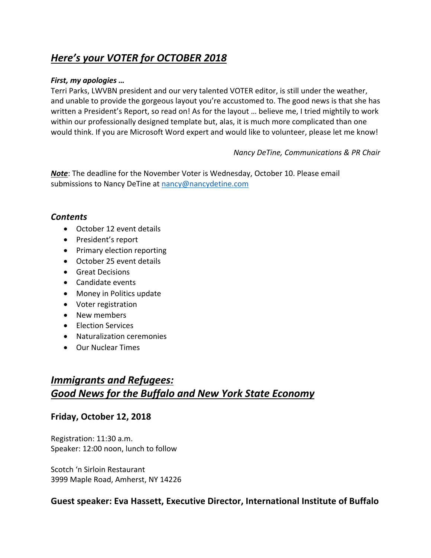# *Here's your VOTER for OCTOBER 2018*

#### *First, my apologies …*

Terri Parks, LWVBN president and our very talented VOTER editor, is still under the weather, and unable to provide the gorgeous layout you're accustomed to. The good news is that she has written a President's Report, so read on! As for the layout … believe me, I tried mightily to work within our professionally designed template but, alas, it is much more complicated than one would think. If you are Microsoft Word expert and would like to volunteer, please let me know!

#### *Nancy DeTine, Communications & PR Chair*

*Note*: The deadline for the November Voter is Wednesday, October 10. Please email submissions to Nancy DeTine at nancy@nancydetine.com

#### *Contents*

- October 12 event details
- President's report
- Primary election reporting
- October 25 event details
- Great Decisions
- Candidate events
- Money in Politics update
- Voter registration
- New members
- Election Services
- Naturalization ceremonies
- Our Nuclear Times

# *Immigrants and Refugees: Good News for the Buffalo and New York State Economy*

#### **Friday, October 12, 2018**

Registration: 11:30 a.m. Speaker: 12:00 noon, lunch to follow

Scotch 'n Sirloin Restaurant 3999 Maple Road, Amherst, NY 14226

### **Guest speaker: Eva Hassett, Executive Director, International Institute of Buffalo**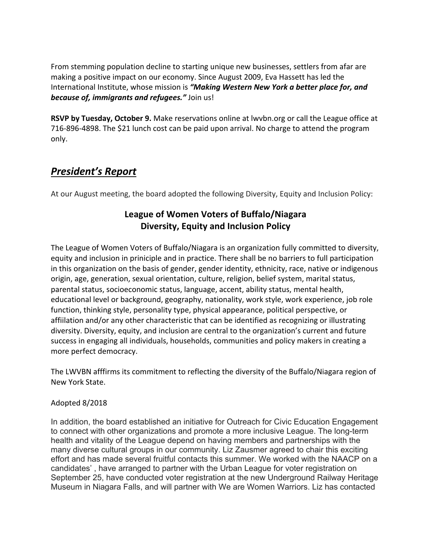From stemming population decline to starting unique new businesses, settlers from afar are making a positive impact on our economy. Since August 2009, Eva Hassett has led the International Institute, whose mission is *"Making Western New York a better place for, and because of, immigrants and refugees."* Join us!

**RSVP by Tuesday, October 9.** Make reservations online at lwvbn.org or call the League office at 716-896-4898. The \$21 lunch cost can be paid upon arrival. No charge to attend the program only.

## *President's Report*

At our August meeting, the board adopted the following Diversity, Equity and Inclusion Policy:

### **League of Women Voters of Buffalo/Niagara Diversity, Equity and Inclusion Policy**

The League of Women Voters of Buffalo/Niagara is an organization fully committed to diversity, equity and inclusion in priniciple and in practice. There shall be no barriers to full participation in this organization on the basis of gender, gender identity, ethnicity, race, native or indigenous origin, age, generation, sexual orientation, culture, religion, belief system, marital status, parental status, socioeconomic status, language, accent, ability status, mental health, educational level or background, geography, nationality, work style, work experience, job role function, thinking style, personality type, physical appearance, political perspective, or affiilation and/or any other characteristic that can be identified as recognizing or illustrating diversity. Diversity, equity, and inclusion are central to the organization's current and future success in engaging all individuals, households, communities and policy makers in creating a more perfect democracy.

The LWVBN afffirms its commitment to reflecting the diversity of the Buffalo/Niagara region of New York State.

#### Adopted 8/2018

In addition, the board established an initiative for Outreach for Civic Education Engagement to connect with other organizations and promote a more inclusive League. The long-term health and vitality of the League depend on having members and partnerships with the many diverse cultural groups in our community. Liz Zausmer agreed to chair this exciting effort and has made several fruitful contacts this summer. We worked with the NAACP on a candidates' , have arranged to partner with the Urban League for voter registration on September 25, have conducted voter registration at the new Underground Railway Heritage Museum in Niagara Falls, and will partner with We are Women Warriors. Liz has contacted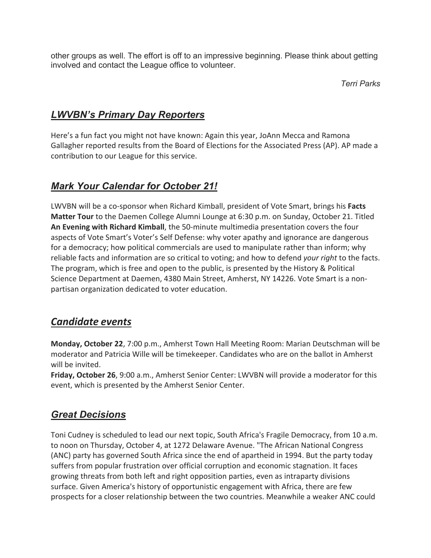other groups as well. The effort is off to an impressive beginning. Please think about getting involved and contact the League office to volunteer.

#### *Terri Parks*

### *LWVBN's Primary Day Reporters*

Here's a fun fact you might not have known: Again this year, JoAnn Mecca and Ramona Gallagher reported results from the Board of Elections for the Associated Press (AP). AP made a contribution to our League for this service.

### *Mark Your Calendar for October 21!*

LWVBN will be a co-sponsor when Richard Kimball, president of Vote Smart, brings his **Facts Matter Tour** to the Daemen College Alumni Lounge at 6:30 p.m. on Sunday, October 21. Titled **An Evening with Richard Kimball**, the 50-minute multimedia presentation covers the four aspects of Vote Smart's Voter's Self Defense: why voter apathy and ignorance are dangerous for a democracy; how political commercials are used to manipulate rather than inform; why reliable facts and information are so critical to voting; and how to defend *your right* to the facts. The program, which is free and open to the public, is presented by the History & Political Science Department at Daemen, 4380 Main Street, Amherst, NY 14226. Vote Smart is a nonpartisan organization dedicated to voter education.

## *Candidate events*

**Monday, October 22**, 7:00 p.m., Amherst Town Hall Meeting Room: Marian Deutschman will be moderator and Patricia Wille will be timekeeper. Candidates who are on the ballot in Amherst will be invited.

**Friday, October 26**, 9:00 a.m., Amherst Senior Center: LWVBN will provide a moderator for this event, which is presented by the Amherst Senior Center.

### *Great Decisions*

Toni Cudney is scheduled to lead our next topic, South Africa's Fragile Democracy, from 10 a.m. to noon on Thursday, October 4, at 1272 Delaware Avenue. "The African National Congress (ANC) party has governed South Africa since the end of apartheid in 1994. But the party today suffers from popular frustration over official corruption and economic stagnation. It faces growing threats from both left and right opposition parties, even as intraparty divisions surface. Given America's history of opportunistic engagement with Africa, there are few prospects for a closer relationship between the two countries. Meanwhile a weaker ANC could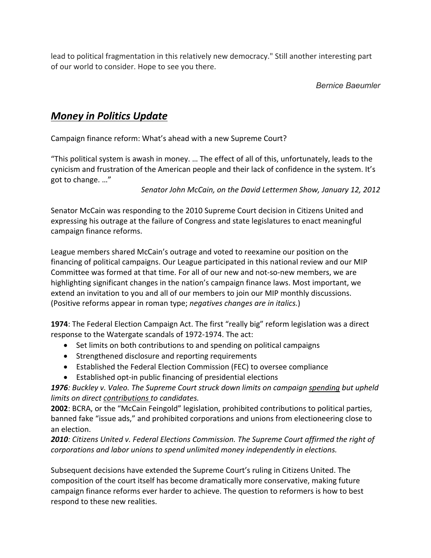lead to political fragmentation in this relatively new democracy." Still another interesting part of our world to consider. Hope to see you there.

#### *Bernice Baeumler*

## *Money in Politics Update*

Campaign finance reform: What's ahead with a new Supreme Court?

"This political system is awash in money. … The effect of all of this, unfortunately, leads to the cynicism and frustration of the American people and their lack of confidence in the system. It's got to change. …"

*Senator John McCain, on the David Lettermen Show, January 12, 2012*

Senator McCain was responding to the 2010 Supreme Court decision in Citizens United and expressing his outrage at the failure of Congress and state legislatures to enact meaningful campaign finance reforms.

League members shared McCain's outrage and voted to reexamine our position on the financing of political campaigns. Our League participated in this national review and our MIP Committee was formed at that time. For all of our new and not-so-new members, we are highlighting significant changes in the nation's campaign finance laws. Most important, we extend an invitation to you and all of our members to join our MIP monthly discussions. (Positive reforms appear in roman type; *negatives changes are in italics.*)

**1974**: The Federal Election Campaign Act. The first "really big" reform legislation was a direct response to the Watergate scandals of 1972-1974. The act:

- Set limits on both contributions to and spending on political campaigns
- Strengthened disclosure and reporting requirements
- Established the Federal Election Commission (FEC) to oversee compliance
- Established opt-in public financing of presidential elections

*1976: Buckley v. Valeo. The Supreme Court struck down limits on campaign spending but upheld limits on direct contributions to candidates.*

**2002**: BCRA, or the "McCain Feingold" legislation, prohibited contributions to political parties, banned fake "issue ads," and prohibited corporations and unions from electioneering close to an election.

*2010: Citizens United v. Federal Elections Commission. The Supreme Court affirmed the right of corporations and labor unions to spend unlimited money independently in elections.*

Subsequent decisions have extended the Supreme Court's ruling in Citizens United. The composition of the court itself has become dramatically more conservative, making future campaign finance reforms ever harder to achieve. The question to reformers is how to best respond to these new realities.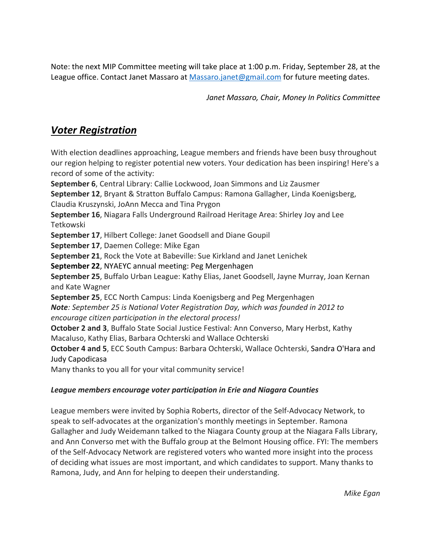Note: the next MIP Committee meeting will take place at 1:00 p.m. Friday, September 28, at the League office. Contact Janet Massaro at Massaro.janet@gmail.com for future meeting dates.

*Janet Massaro, Chair, Money In Politics Committee*

# *Voter Registration*

With election deadlines approaching, League members and friends have been busy throughout our region helping to register potential new voters. Your dedication has been inspiring! Here's a record of some of the activity:

**September 6**, Central Library: Callie Lockwood, Joan Simmons and Liz Zausmer **September 12**, Bryant & Stratton Buffalo Campus: Ramona Gallagher, Linda Koenigsberg, Claudia Kruszynski, JoAnn Mecca and Tina Prygon

**September 16**, Niagara Falls Underground Railroad Heritage Area: Shirley Joy and Lee Tetkowski

**September 17**, Hilbert College: Janet Goodsell and Diane Goupil

**September 17**, Daemen College: Mike Egan

**September 21**, Rock the Vote at Babeville: Sue Kirkland and Janet Lenichek

**September 22**, NYAEYC annual meeting: Peg Mergenhagen

**September 25**, Buffalo Urban League: Kathy Elias, Janet Goodsell, Jayne Murray, Joan Kernan and Kate Wagner

**September 25**, ECC North Campus: Linda Koenigsberg and Peg Mergenhagen

*Note: September 25 is National Voter Registration Day, which was founded in 2012 to encourage citizen participation in the electoral process!*

**October 2 and 3**, Buffalo State Social Justice Festival: Ann Converso, Mary Herbst, Kathy Macaluso, Kathy Elias, Barbara Ochterski and Wallace Ochterski

**October 4 and 5**, ECC South Campus: Barbara Ochterski, Wallace Ochterski, Sandra O'Hara and Judy Capodicasa

Many thanks to you all for your vital community service!

### *League members encourage voter participation in Erie and Niagara Counties*

League members were invited by Sophia Roberts, director of the Self-Advocacy Network, to speak to self-advocates at the organization's monthly meetings in September. Ramona Gallagher and Judy Weidemann talked to the Niagara County group at the Niagara Falls Library, and Ann Converso met with the Buffalo group at the Belmont Housing office. FYI: The members of the Self-Advocacy Network are registered voters who wanted more insight into the process of deciding what issues are most important, and which candidates to support. Many thanks to Ramona, Judy, and Ann for helping to deepen their understanding.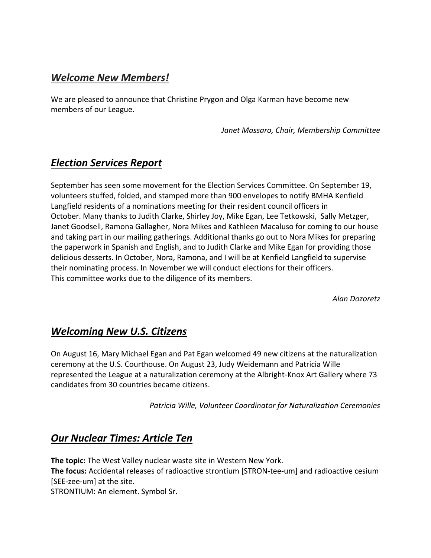## *Welcome New Members!*

We are pleased to announce that Christine Prygon and Olga Karman have become new members of our League.

*Janet Massaro, Chair, Membership Committee*

## *Election Services Report*

September has seen some movement for the Election Services Committee. On September 19, volunteers stuffed, folded, and stamped more than 900 envelopes to notify BMHA Kenfield Langfield residents of a nominations meeting for their resident council officers in October. Many thanks to Judith Clarke, Shirley Joy, Mike Egan, Lee Tetkowski, Sally Metzger, Janet Goodsell, Ramona Gallagher, Nora Mikes and Kathleen Macaluso for coming to our house and taking part in our mailing gatherings. Additional thanks go out to Nora Mikes for preparing the paperwork in Spanish and English, and to Judith Clarke and Mike Egan for providing those delicious desserts. In October, Nora, Ramona, and I will be at Kenfield Langfield to supervise their nominating process. In November we will conduct elections for their officers. This committee works due to the diligence of its members.

*Alan Dozoretz*

### *Welcoming New U.S. Citizens*

On August 16, Mary Michael Egan and Pat Egan welcomed 49 new citizens at the naturalization ceremony at the U.S. Courthouse. On August 23, Judy Weidemann and Patricia Wille represented the League at a naturalization ceremony at the Albright-Knox Art Gallery where 73 candidates from 30 countries became citizens.

*Patricia Wille, Volunteer Coordinator for Naturalization Ceremonies*

## *Our Nuclear Times: Article Ten*

**The topic:** The West Valley nuclear waste site in Western New York. **The focus:** Accidental releases of radioactive strontium [STRON-tee-um] and radioactive cesium [SEE-zee-um] at the site.

STRONTIUM: An element. Symbol Sr.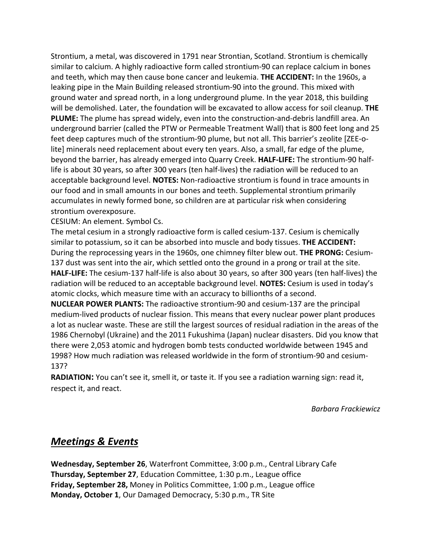Strontium, a metal, was discovered in 1791 near Strontian, Scotland. Strontium is chemically similar to calcium. A highly radioactive form called strontium-90 can replace calcium in bones and teeth, which may then cause bone cancer and leukemia. **THE ACCIDENT:** In the 1960s, a leaking pipe in the Main Building released strontium-90 into the ground. This mixed with ground water and spread north, in a long underground plume. In the year 2018, this building will be demolished. Later, the foundation will be excavated to allow access for soil cleanup. **THE PLUME:** The plume has spread widely, even into the construction-and-debris landfill area. An underground barrier (called the PTW or Permeable Treatment Wall) that is 800 feet long and 25 feet deep captures much of the strontium-90 plume, but not all. This barrier's zeolite [ZEE-olite] minerals need replacement about every ten years. Also, a small, far edge of the plume, beyond the barrier, has already emerged into Quarry Creek. **HALF-LIFE:** The strontium-90 halflife is about 30 years, so after 300 years (ten half-lives) the radiation will be reduced to an acceptable background level. **NOTES:** Non-radioactive strontium is found in trace amounts in our food and in small amounts in our bones and teeth. Supplemental strontium primarily accumulates in newly formed bone, so children are at particular risk when considering strontium overexposure.

CESIUM: An element. Symbol Cs.

The metal cesium in a strongly radioactive form is called cesium-137. Cesium is chemically similar to potassium, so it can be absorbed into muscle and body tissues. **THE ACCIDENT:** During the reprocessing years in the 1960s, one chimney filter blew out. **THE PRONG:** Cesium-137 dust was sent into the air, which settled onto the ground in a prong or trail at the site. **HALF-LIFE:** The cesium-137 half-life is also about 30 years, so after 300 years (ten half-lives) the radiation will be reduced to an acceptable background level. **NOTES:** Cesium is used in today's atomic clocks, which measure time with an accuracy to billionths of a second.

**NUCLEAR POWER PLANTS:** The radioactive strontium-90 and cesium-137 are the principal medium-lived products of nuclear fission. This means that every nuclear power plant produces a lot as nuclear waste. These are still the largest sources of residual radiation in the areas of the 1986 Chernobyl (Ukraine) and the 2011 Fukushima (Japan) nuclear disasters. Did you know that there were 2,053 atomic and hydrogen bomb tests conducted worldwide between 1945 and 1998? How much radiation was released worldwide in the form of strontium-90 and cesium-137?

**RADIATION:** You can't see it, smell it, or taste it. If you see a radiation warning sign: read it, respect it, and react.

*Barbara Frackiewicz*

### *Meetings & Events*

**Wednesday, September 26**, Waterfront Committee, 3:00 p.m., Central Library Cafe **Thursday, September 27**, Education Committee, 1:30 p.m., League office **Friday, September 28,** Money in Politics Committee, 1:00 p.m., League office **Monday, October 1**, Our Damaged Democracy, 5:30 p.m., TR Site